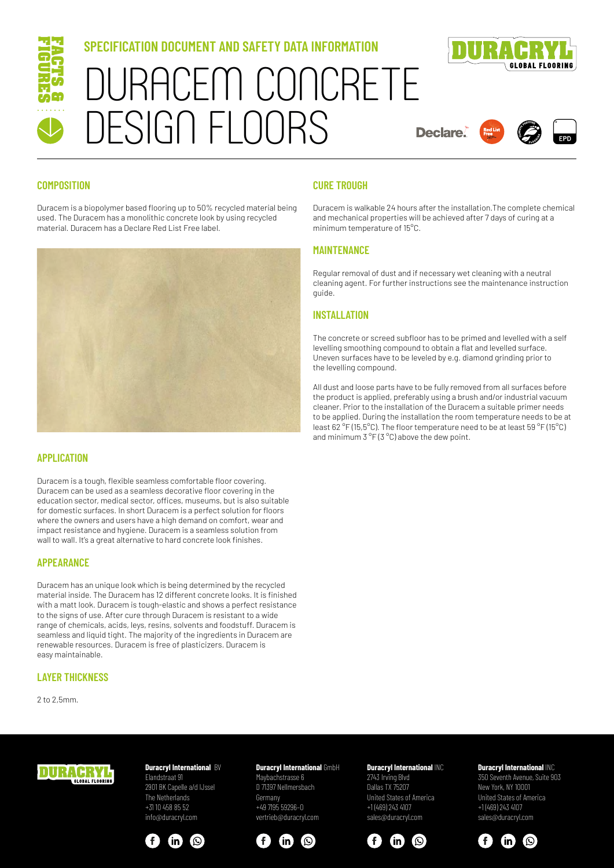

## **SPECIFICATION DOCUMENT AND SAFETY DATA INFORMATION**





**Declare** 



## **COMPOSITION**

Duracem is a biopolymer based flooring up to 50% recycled material being used. The Duracem has a monolithic concrete look by using recycled material. Duracem has a Declare Red List Free label.



## **APPLICATION**

Duracem is a tough, flexible seamless comfortable floor covering. Duracem can be used as a seamless decorative floor covering in the education sector, medical sector, offices, museums, but is also suitable for domestic surfaces. In short Duracem is a perfect solution for floors where the owners and users have a high demand on comfort, wear and impact resistance and hygiene. Duracem is a seamless solution from wall to wall. It's a great alternative to hard concrete look finishes.

### **APPEARANCE**

Duracem has an unique look which is being determined by the recycled material inside. The Duracem has 12 different concrete looks. It is finished with a matt look. Duracem is tough-elastic and shows a perfect resistance to the signs of use. After cure through Duracem is resistant to a wide range of chemicals, acids, leys, resins, solvents and foodstuff. Duracem is seamless and liquid tight. The majority of the ingredients in Duracem are renewable resources. Duracem is free of plasticizers. Duracem is easy maintainable.

## **LAYER THICKNESS**

2 to 2,5mm.

## **CURE TROUGH**

Duracem is walkable 24 hours after the installation.The complete chemical and mechanical properties will be achieved after 7 days of curing at a minimum temperature of 15°C.

## **MAINTENANCE**

Regular removal of dust and if necessary wet cleaning with a neutral cleaning agent. For further instructions see the maintenance instruction guide.

## **INSTALLATION**

The concrete or screed subfloor has to be primed and levelled with a self levelling smoothing compound to obtain a flat and levelled surface. Uneven surfaces have to be leveled by e.g. diamond grinding prior to the levelling compound.

All dust and loose parts have to be fully removed from all surfaces before the product is applied, preferably using a brush and/or industrial vacuum cleaner. Prior to the installation of the Duracem a suitable primer needs to be applied. During the installation the room temperature needs to be at least 62 °F (15,5°C). The floor temperature need to be at least 59 °F (15°C) and minimum 3 °F (3 °C) above the dew point.



#### **Duracryl International BV** Elandstraat 91

2901 BK Capelle a/d IJssel The Netherlands +31 10 458 85 52 info@duracryl.com



## **Duracryl International GmbH**

Maybachstrasse 6 D 71397 Nellmersbach Germany +49 7195 59296–0 vertrieb@duracryl.com



#### **Duracryl International** INC 2743 Irving Blvd Dallas TX 75207 United States of America +1 (469) 243 4107 sales@duracryl.com



## **Duracryl International** INC

350 Seventh Avenue, Suite 903 New York, NY 10001 United States of America +1 (469) 243 4107 sales@duracryl.com

<u>(ල)</u>

 $\mathbf{m}$ 

 $\mathbf{f}$